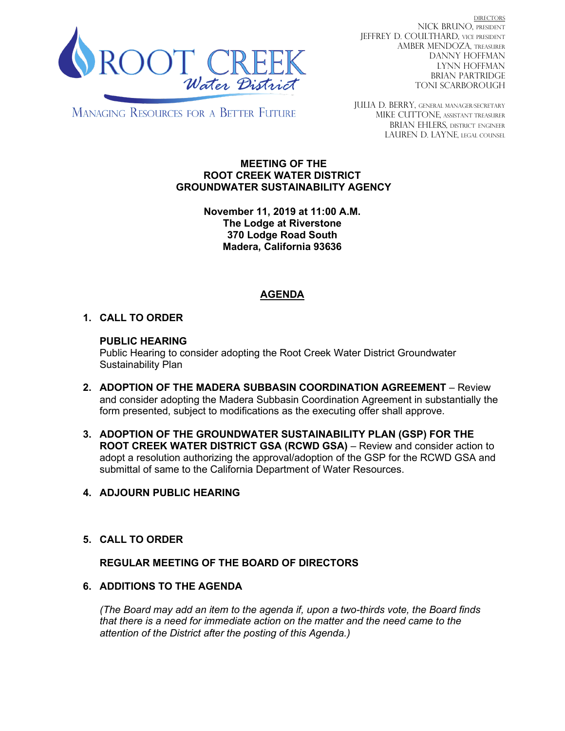

DIRECTORS NICK BRUNO, PRESIDENT JEFFREY D. COULTHARD, Vice President AMBER MENDOZA, TREASURER DANNY HOFFMAN LYNN HOFFMAN BRIAN PARTRIDGE TONI SCARBOROUGH

**MANAGING RESOURCES FOR A BETTER FUTURE** 

JULIA D. BERRY, GENERAL MANAGER/secretary MIKE CUTTONE, Assistant treasurer BRIAN EHLERS, DISTRICT ENGINEER LAUREN D. LAYNE, LEGAL COUNSEL

#### **MEETING OF THE ROOT CREEK WATER DISTRICT GROUNDWATER SUSTAINABILITY AGENCY**

**November 11, 2019 at 11:00 A.M. The Lodge at Riverstone 370 Lodge Road South Madera, California 93636**

# **AGENDA**

## **1. CALL TO ORDER**

### **PUBLIC HEARING**

Public Hearing to consider adopting the Root Creek Water District Groundwater Sustainability Plan

- **2. ADOPTION OF THE MADERA SUBBASIN COORDINATION AGREEMENT** Review and consider adopting the Madera Subbasin Coordination Agreement in substantially the form presented, subject to modifications as the executing offer shall approve.
- **3. ADOPTION OF THE GROUNDWATER SUSTAINABILITY PLAN (GSP) FOR THE ROOT CREEK WATER DISTRICT GSA (RCWD GSA)** – Review and consider action to adopt a resolution authorizing the approval/adoption of the GSP for the RCWD GSA and submittal of same to the California Department of Water Resources.

### **4. ADJOURN PUBLIC HEARING**

**5. CALL TO ORDER**

### **REGULAR MEETING OF THE BOARD OF DIRECTORS**

### **6. ADDITIONS TO THE AGENDA**

*(The Board may add an item to the agenda if, upon a two-thirds vote, the Board finds that there is a need for immediate action on the matter and the need came to the attention of the District after the posting of this Agenda.)*